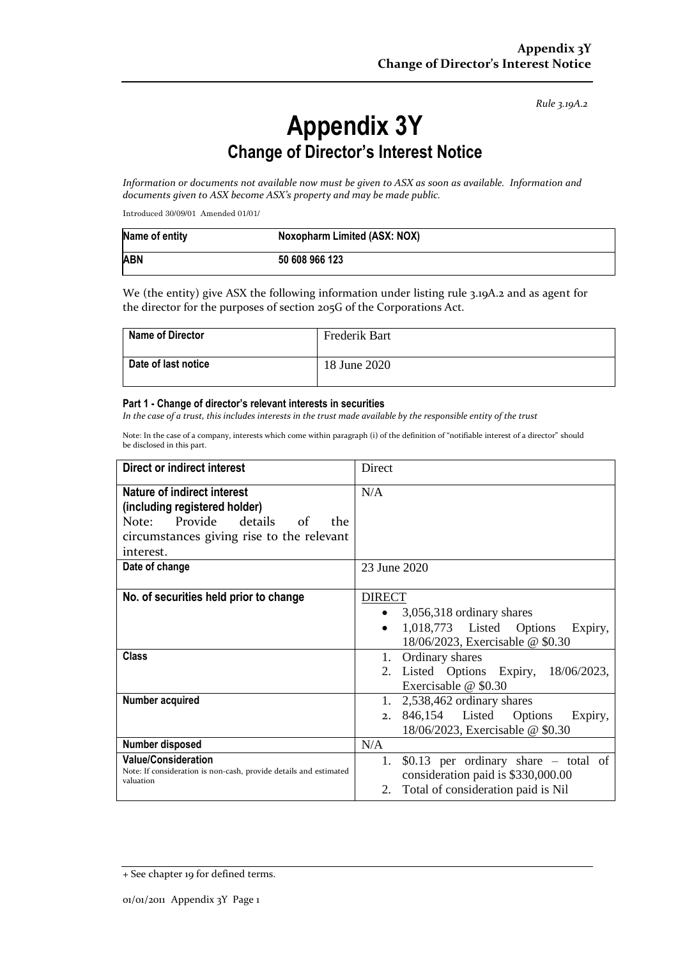*Rule 3.19A.2*

## **Appendix 3Y Change of Director's Interest Notice**

*Information or documents not available now must be given to ASX as soon as available. Information and documents given to ASX become ASX's property and may be made public.*

Introduced 30/09/01 Amended 01/01/

| Name of entity | Noxopharm Limited (ASX: NOX) |
|----------------|------------------------------|
| <b>ABN</b>     | 50 608 966 123               |

We (the entity) give ASX the following information under listing rule 3.19A.2 and as agent for the director for the purposes of section 205G of the Corporations Act.

| <b>Name of Director</b> | Frederik Bart |
|-------------------------|---------------|
| Date of last notice     | 18 June 2020  |

## **Part 1 - Change of director's relevant interests in securities**

*In the case of a trust, this includes interests in the trust made available by the responsible entity of the trust*

Note: In the case of a company, interests which come within paragraph (i) of the definition of "notifiable interest of a director" should be disclosed in this part.

| Direct or indirect interest                                                                                                                                         | Direct                                                                                                                                          |  |
|---------------------------------------------------------------------------------------------------------------------------------------------------------------------|-------------------------------------------------------------------------------------------------------------------------------------------------|--|
| <b>Nature of indirect interest</b><br>(including registered holder)<br>Note: Provide details<br>of<br>the<br>circumstances giving rise to the relevant<br>interest. | N/A                                                                                                                                             |  |
| Date of change                                                                                                                                                      | 23 June 2020                                                                                                                                    |  |
| No. of securities held prior to change                                                                                                                              | <b>DIRECT</b><br>3,056,318 ordinary shares<br>$\bullet$<br>1,018,773 Listed Options<br>Expiry,<br>$\bullet$<br>18/06/2023, Exercisable @ \$0.30 |  |
| <b>Class</b>                                                                                                                                                        | Ordinary shares<br>1.<br>2. Listed Options Expiry, 18/06/2023,<br>Exercisable @ \$0.30                                                          |  |
| Number acquired                                                                                                                                                     | 1. $2,538,462$ ordinary shares<br>846,154 Listed Options<br>Expiry,<br>2.<br>18/06/2023, Exercisable @ \$0.30                                   |  |
| Number disposed                                                                                                                                                     | N/A                                                                                                                                             |  |
| <b>Value/Consideration</b><br>Note: If consideration is non-cash, provide details and estimated<br>valuation                                                        | \$0.13 per ordinary share $-$ total of<br>1.<br>consideration paid is \$330,000.00<br>Total of consideration paid is Nil<br>2.                  |  |

<sup>+</sup> See chapter 19 for defined terms.